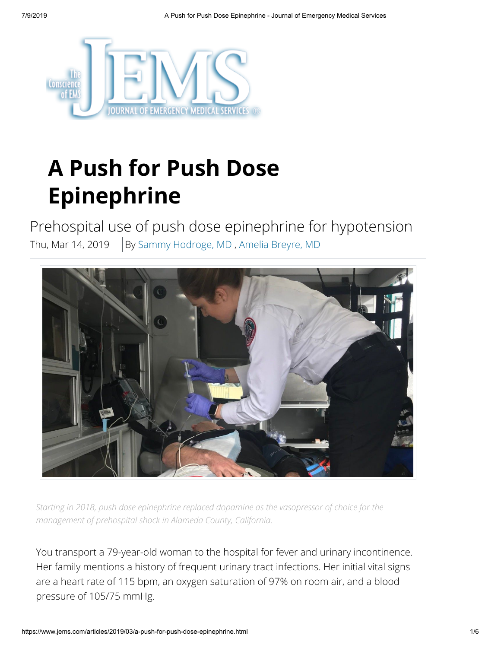

# **A Push for Push Dose Epinephrine**

Prehospital use of push dose epinephrine for hypotension Thu, Mar 14, 2019  $\Big|$  By [Sammy Hodroge, MD](https://www.jems.com/content/jems/en/authors/q-t/sammy-hodroge-md.html), [Amelia Breyre, MD](https://www.jems.com/content/jems/en/authors/a-f/amelia-breyre-md.html)



*Starting in 2018, push dose epinephrine replaced dopamine as the vasopressor of choice for the management of prehospital shock in Alameda County, California.*

You transport a 79-year-old woman to the hospital for fever and urinary incontinence. Her family mentions a history of frequent urinary tract infections. Her initial vital signs are a heart rate of 115 bpm, an oxygen saturation of 97% on room air, and a blood pressure of 105/75 mmHg.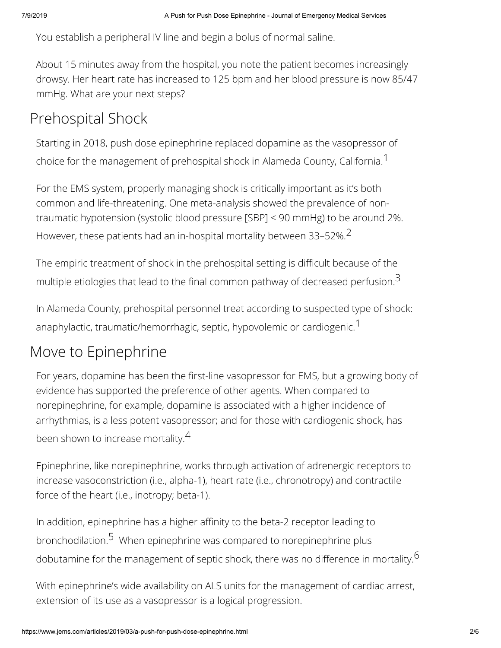You establish a peripheral IV line and begin a bolus of normal saline.

About 15 minutes away from the hospital, you note the patient becomes increasingly drowsy. Her heart rate has increased to 125 bpm and her blood pressure is now 85/47 mmHg. What are your next steps?

### Prehospital Shock

Starting in 2018, push dose epinephrine replaced dopamine as the vasopressor of choice for the management of prehospital shock in Alameda County, California.<sup>1</sup>

For the EMS system, properly managing shock is critically important as it's both common and life-threatening. One meta-analysis showed the prevalence of nontraumatic hypotension (systolic blood pressure [SBP] < 90 mmHg) to be around 2%. However, these patients had an in-hospital mortality between 33–52%.2

The empiric treatment of shock in the prehospital setting is difficult because of the multiple etiologies that lead to the final common pathway of decreased perfusion.<sup>3</sup>

In Alameda County, prehospital personnel treat according to suspected type of shock: anaphylactic, traumatic/hemorrhagic, septic, hypovolemic or cardiogenic.<sup>1</sup>

### Move to Epinephrine

For years, dopamine has been the first-line vasopressor for EMS, but a growing body of evidence has supported the preference of other agents. When compared to norepinephrine, for example, dopamine is associated with a higher incidence of arrhythmias, is a less potent vasopressor; and for those with cardiogenic shock, has been shown to increase mortality.<sup>4</sup>

Epinephrine, like norepinephrine, works through activation of adrenergic receptors to increase vasoconstriction (i.e., alpha-1), heart rate (i.e., chronotropy) and contractile force of the heart (i.e., inotropy; beta-1).

In addition, epinephrine has a higher affinity to the beta-2 receptor leading to bronchodilation.<sup>5</sup> When epinephrine was compared to norepinephrine plus dobutamine for the management of septic shock, there was no difference in mortality.<sup>6</sup>

With epinephrine's wide availability on ALS units for the management of cardiac arrest, extension of its use as a vasopressor is a logical progression.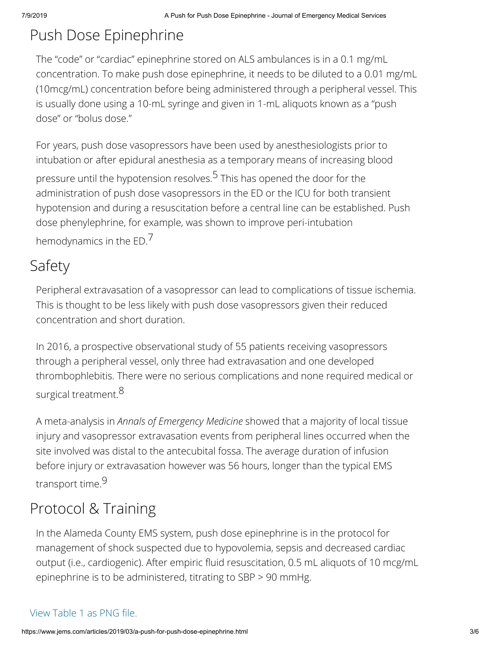# Push Dose Epinephrine

The "code" or "cardiac" epinephrine stored on ALS ambulances is in a 0.1 mg/mL concentration. To make push dose epinephrine, it needs to be diluted to a 0.01 mg/mL (10mcg/mL) concentration before being administered through a peripheral vessel. This is usually done using a 10-mL syringe and given in 1-mL aliquots known as a "push dose" or "bolus dose."

For years, push dose vasopressors have been used by anesthesiologists prior to intubation or after epidural anesthesia as a temporary means of increasing blood

pressure until the hypotension resolves.<sup>5</sup> This has opened the door for the administration of push dose vasopressors in the ED or the ICU for both transient hypotension and during a resuscitation before a central line can be established. Push dose phenylephrine, for example, was shown to improve peri-intubation hemodynamics in the ED.<sup>7</sup>

## Safety

Peripheral extravasation of a vasopressor can lead to complications of tissue ischemia. This is thought to be less likely with push dose vasopressors given their reduced concentration and short duration.

In 2016, a prospective observational study of 55 patients receiving vasopressors through a peripheral vessel, only three had extravasation and one developed thrombophlebitis. There were no serious complications and none required medical or surgical treatment.<sup>8</sup>

A meta-analysis in *Annals of Emergency Medicine* showed that a majority of local tissue injury and vasopressor extravasation events from peripheral lines occurred when the site involved was distal to the antecubital fossa. The average duration of infusion before injury or extravasation however was 56 hours, longer than the typical EMS transport time.9

# Protocol & Training

In the Alameda County EMS system, push dose epinephrine is in the protocol for management of shock suspected due to hypovolemia, sepsis and decreased cardiac output (i.e., cardiogenic). After empiric fluid resuscitation, 0.5 mL aliquots of 10 mcg/mL epinephrine is to be administered, titrating to SBP > 90 mmHg.

#### View Table 1 as PNG file.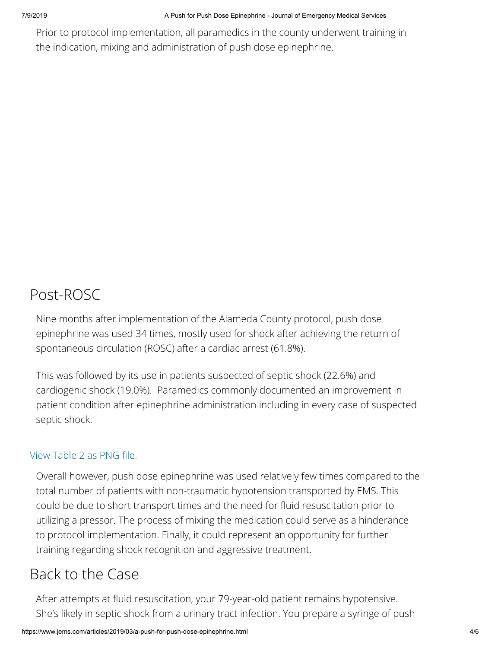Prior to protocol implementation, all paramedics in the county underwent training in the indication, mixing and administration of push dose epinephrine.

### Post-ROSC

Nine months after implementation of the Alameda County protocol, push dose epinephrine was used 34 times, mostly used for shock after achieving the return of spontaneous circulation (ROSC) after a cardiac arrest (61.8%).

This was followed by its use in patients suspected of septic shock (22.6%) and cardiogenic shock (19.0%). Paramedics commonly documented an improvement in patient condition after epinephrine administration including in every case of suspected septic shock.

#### View Table 2 as PNG file.

Overall however, push dose epinephrine was used relatively few times compared to the total number of patients with non-traumatic hypotension transported by EMS. This could be due to short transport times and the need for fluid resuscitation prior to utilizing a pressor. The process of mixing the medication could serve as a hinderance to protocol implementation. Finally, it could represent an opportunity for further training regarding shock recognition and aggressive treatment.

### Back to the Case

After attempts at fluid resuscitation, your 79-year-old patient remains hypotensive. She's likely in septic shock from a urinary tract infection. You prepare a syringe of push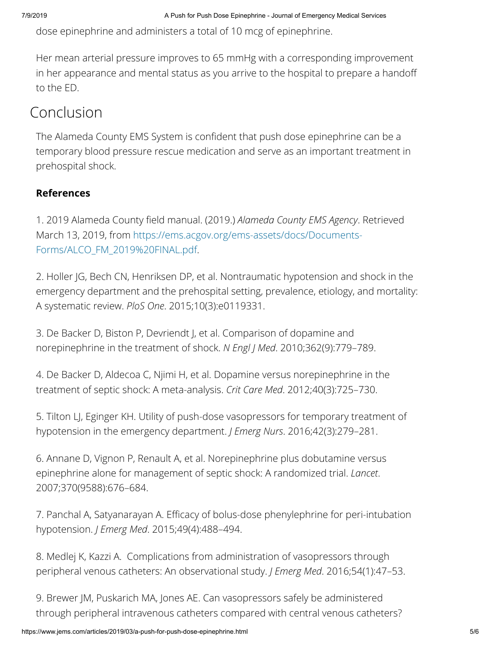dose epinephrine and administers a total of 10 mcg of epinephrine.

Her mean arterial pressure improves to 65 mmHg with a corresponding improvement in her appearance and mental status as you arrive to the hospital to prepare a hando to the ED.

### Conclusion

The Alameda County EMS System is confident that push dose epinephrine can be a temporary blood pressure rescue medication and serve as an important treatment in prehospital shock.

#### **References**

1. 2019 Alameda County field manual. (2019.) *Alameda County EMS Agency*. Retrieved [March 13, 2019, from https://ems.acgov.org/ems-assets/docs/Documents-](https://ems.acgov.org/ems-assets/docs/Documents-Forms/ALCO_FM_2019%20FINAL.pdf)Forms/ALCO\_FM\_2019%20FINAL.pdf.

2. Holler JG, Bech CN, Henriksen DP, et al. Nontraumatic hypotension and shock in the emergency department and the prehospital setting, prevalence, etiology, and mortality: A systematic review. *PloS One*. 2015;10(3):e0119331.

3. De Backer D, Biston P, Devriendt J, et al. Comparison of dopamine and norepinephrine in the treatment of shock. *N Engl J Med*. 2010;362(9):779–789.

4. De Backer D, Aldecoa C, Njimi H, et al. Dopamine versus norepinephrine in the treatment of septic shock: A meta-analysis. *Crit Care Med*. 2012;40(3):725–730.

5. Tilton LJ, Eginger KH. Utility of push-dose vasopressors for temporary treatment of hypotension in the emergency department. *J Emerg Nurs*. 2016;42(3):279–281.

6. Annane D, Vignon P, Renault A, et al. Norepinephrine plus dobutamine versus epinephrine alone for management of septic shock: A randomized trial. *Lancet*. 2007;370(9588):676–684.

7. Panchal A, Satyanarayan A. Efficacy of bolus-dose phenylephrine for peri-intubation hypotension. *J Emerg Med*. 2015;49(4):488–494.

8. Medlej K, Kazzi A. Complications from administration of vasopressors through peripheral venous catheters: An observational study. *J Emerg Med*. 2016;54(1):47–53.

9. Brewer JM, Puskarich MA, Jones AE. Can vasopressors safely be administered through peripheral intravenous catheters compared with central venous catheters?